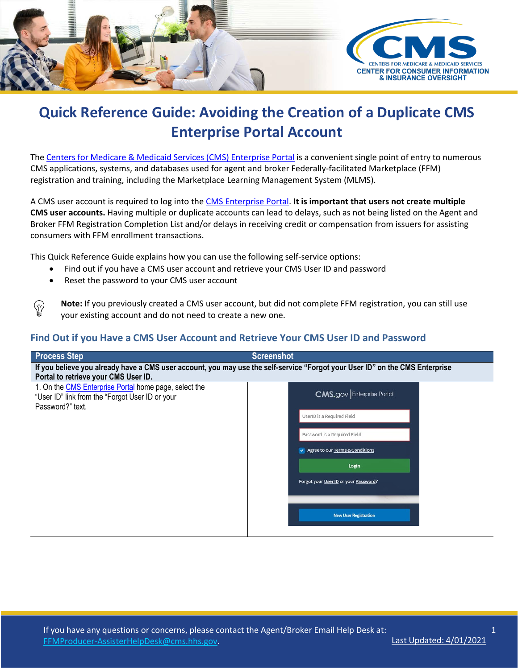

## **Quick Reference Guide: Avoiding the Creation of a Duplicate CMS Enterprise Portal Account**

The Centers for Medicare & Medicaid Services (CMS) [Enterprise](https://portal.cms.gov/) Portal is a convenient single point of entry to numerous CMS applications, systems, and databases used for agent and broker Federally-facilitated Marketplace (FFM) registration and training, including the Marketplace Learning Management System (MLMS).

A CMS user account is required to log into th[e CMS Enterprise Portal.](https://portal.cms.gov/) **It is important that users not create multiple CMS user accounts.** Having multiple or duplicate accounts can lead to delays, such as not being listed on the Agent and Broker FFM Registration Completion List and/or delays in receiving credit or compensation from issuers for assisting consumers with FFM enrollment transactions.

This Quick Reference Guide explains how you can use the following self-service options:

- Find out if you have a CMS user account and retrieve your CMS User ID and password
- Reset the password to your CMS user account

 $\langle \bar{\gamma} \rangle$ 

**Note:** If you previously created a CMS user account, but did not complete FFM registration, you can still use your existing account and do not need to create a new one.

## **Find Out if you Have a CMS User Account and Retrieve Your CMS User ID and Password**

| <b>Process Step</b>                                                                                                                                                  | <b>Screenshot</b>                     |  |  |
|----------------------------------------------------------------------------------------------------------------------------------------------------------------------|---------------------------------------|--|--|
| If you believe you already have a CMS user account, you may use the self-service "Forgot your User ID" on the CMS Enterprise<br>Portal to retrieve your CMS User ID. |                                       |  |  |
| 1. On the CMS Enterprise Portal home page, select the<br>"User ID" link from the "Forgot User ID or your<br>Password?" text.                                         | <b>CMS.gov</b> Enterprise Portal      |  |  |
|                                                                                                                                                                      | UserID is a Required Field            |  |  |
|                                                                                                                                                                      | Password is a Required Field          |  |  |
|                                                                                                                                                                      | Agree to our Terms & Conditions       |  |  |
|                                                                                                                                                                      | Login                                 |  |  |
|                                                                                                                                                                      | Forgot your User ID or your Password? |  |  |
|                                                                                                                                                                      |                                       |  |  |
|                                                                                                                                                                      | <b>New User Registration</b>          |  |  |
|                                                                                                                                                                      |                                       |  |  |

1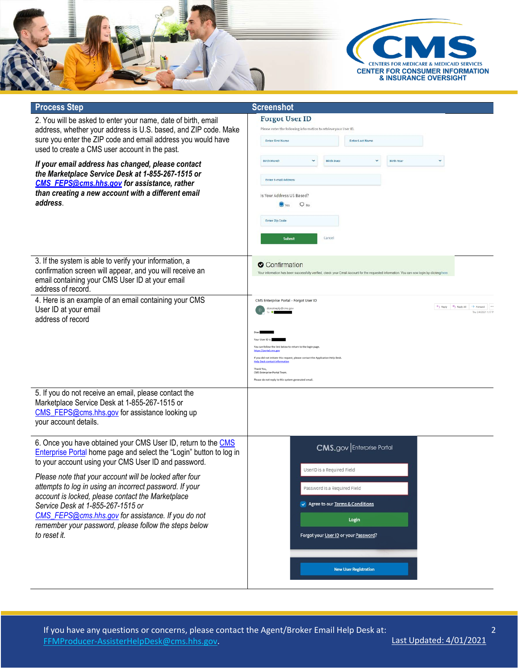

| <b>Process Step</b>                                                                                                                                                                                                                                                                                                                                                                                                                                                                                                                                | <b>Screenshot</b>                                                                                                                                                                                                                                                                                                                                                                                                                         |
|----------------------------------------------------------------------------------------------------------------------------------------------------------------------------------------------------------------------------------------------------------------------------------------------------------------------------------------------------------------------------------------------------------------------------------------------------------------------------------------------------------------------------------------------------|-------------------------------------------------------------------------------------------------------------------------------------------------------------------------------------------------------------------------------------------------------------------------------------------------------------------------------------------------------------------------------------------------------------------------------------------|
| 2. You will be asked to enter your name, date of birth, email<br>address, whether your address is U.S. based, and ZIP code. Make<br>sure you enter the ZIP code and email address you would have<br>used to create a CMS user account in the past.                                                                                                                                                                                                                                                                                                 | <b>Forgot User ID</b><br>Please enter the following information to retrieve your User ID.<br><b>Enter First Name</b><br><b>Enter Last Name</b>                                                                                                                                                                                                                                                                                            |
| If your email address has changed, please contact<br>the Marketplace Service Desk at 1-855-267-1515 or<br>CMS FEPS@cms.hhs.gov for assistance, rather<br>than creating a new account with a different email<br>address.                                                                                                                                                                                                                                                                                                                            | <b>Birth Month</b><br><b>Birth Date</b><br><b>Birth Year</b><br><b>Enter E-mail Address</b><br>Is Your Address US Based?<br>$O$ <sub>No</sub><br><b>Enter Zip Code</b><br>Submit<br>Cancel                                                                                                                                                                                                                                                |
| 3. If the system is able to verify your information, a<br>confirmation screen will appear, and you will receive an<br>email containing your CMS User ID at your email<br>address of record.                                                                                                                                                                                                                                                                                                                                                        | Confirmation<br>Your information has been successfully verified, check your Email Account for the requested information. You can now login by clicking here                                                                                                                                                                                                                                                                               |
| 4. Here is an example of an email containing your CMS<br>User ID at your email<br>address of record                                                                                                                                                                                                                                                                                                                                                                                                                                                | CMS Enterprise Portal - Forgot User ID<br>Reply   Knoply All   > Forward<br>donotreply@cms.gov<br>Thu 3/4/2021 1:17 PM<br>You can follow the link below to return to the login page<br>https://portal.cms.gov<br>If you did not initiate this request, please contact the Application Help Desk.<br><b>Help Desk contact informat</b><br>Thank You,<br>CMS Enterprise Portal Team.<br>Please do not reply to this system generated email. |
| 5. If you do not receive an email, please contact the<br>Marketplace Service Desk at 1-855-267-1515 or<br>CMS_FEPS@cms.hhs.gov for assistance looking up<br>your account details.                                                                                                                                                                                                                                                                                                                                                                  |                                                                                                                                                                                                                                                                                                                                                                                                                                           |
| 6. Once you have obtained your CMS User ID, return to the CMS<br><b>Enterprise Portal home page and select the "Login" button to log in</b><br>to your account using your CMS User ID and password.<br>Please note that your account will be locked after four<br>attempts to log in using an incorrect password. If your<br>account is locked, please contact the Marketplace<br>Service Desk at 1-855-267-1515 or<br>CMS_FEPS@cms.hhs.gov for assistance. If you do not<br>remember your password, please follow the steps below<br>to reset it. | <b>CMS.gov</b> Enterprise Portal<br>UserID is a Required Field<br>Password is a Required Field<br>Agree to our Terms & Conditions<br>Login<br>Forgot your User ID or your Password?<br><b>New User Registration</b>                                                                                                                                                                                                                       |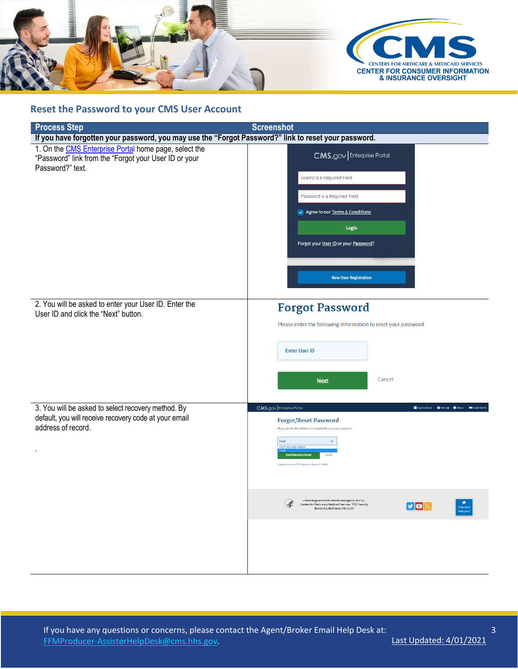

## **Reset the Password to your CMS User Account**

| <b>Process Step</b>                                                                                                                | <b>Screenshot</b>                                                                                                                                                                                                                             |  |  |  |  |
|------------------------------------------------------------------------------------------------------------------------------------|-----------------------------------------------------------------------------------------------------------------------------------------------------------------------------------------------------------------------------------------------|--|--|--|--|
| If you have forgotten your password, you may use the "Forgot Password?" link to reset your password.                               |                                                                                                                                                                                                                                               |  |  |  |  |
| 1. On the CMS Enterprise Portal home page, select the<br>"Password" link from the "Forgot your User ID or your<br>Password?" text. | <b>CMS.gov Enterprise Portal</b>                                                                                                                                                                                                              |  |  |  |  |
|                                                                                                                                    | UserID is a Required Field                                                                                                                                                                                                                    |  |  |  |  |
|                                                                                                                                    | Password is a Required Field                                                                                                                                                                                                                  |  |  |  |  |
|                                                                                                                                    | Agree to our Terms & Conditions<br>Login                                                                                                                                                                                                      |  |  |  |  |
|                                                                                                                                    | Forgot your User ID or your Password?                                                                                                                                                                                                         |  |  |  |  |
|                                                                                                                                    | <b>New User Registration</b>                                                                                                                                                                                                                  |  |  |  |  |
| 2. You will be asked to enter your User ID. Enter the<br>User ID and click the "Next" button.                                      | <b>Forgot Password</b>                                                                                                                                                                                                                        |  |  |  |  |
|                                                                                                                                    | Please enter the following information to reset your password.                                                                                                                                                                                |  |  |  |  |
|                                                                                                                                    | <b>Enter User ID</b>                                                                                                                                                                                                                          |  |  |  |  |
|                                                                                                                                    | Cancel<br><b>Next</b>                                                                                                                                                                                                                         |  |  |  |  |
| 3. You will be asked to select recovery method. By                                                                                 | CMS.gov Enterprise Portal<br>Applications O Help $\blacktriangledown$ O About $\blacktriangledown$ Email Alerts                                                                                                                               |  |  |  |  |
| default, you will receive recovery code at your email                                                                              | <b>Forgot/Reset Password</b>                                                                                                                                                                                                                  |  |  |  |  |
| address of record.                                                                                                                 | Please provide the following information to reset your password                                                                                                                                                                               |  |  |  |  |
|                                                                                                                                    | Email<br><b>Send Recovery Email</b><br>Unable to Access MI A Device or Security Code?                                                                                                                                                         |  |  |  |  |
|                                                                                                                                    |                                                                                                                                                                                                                                               |  |  |  |  |
|                                                                                                                                    | A federal government website managed by the U.S.<br>$\bullet$<br>$\mathscr{F}$<br>Centers for Medicare & Medicaid Services. 7500 Security<br>$\triangleright$ פו $\triangleright$<br>How can I<br>help you?<br>Boulevard, Baltimore, MD 21244 |  |  |  |  |
|                                                                                                                                    |                                                                                                                                                                                                                                               |  |  |  |  |
|                                                                                                                                    |                                                                                                                                                                                                                                               |  |  |  |  |
|                                                                                                                                    |                                                                                                                                                                                                                                               |  |  |  |  |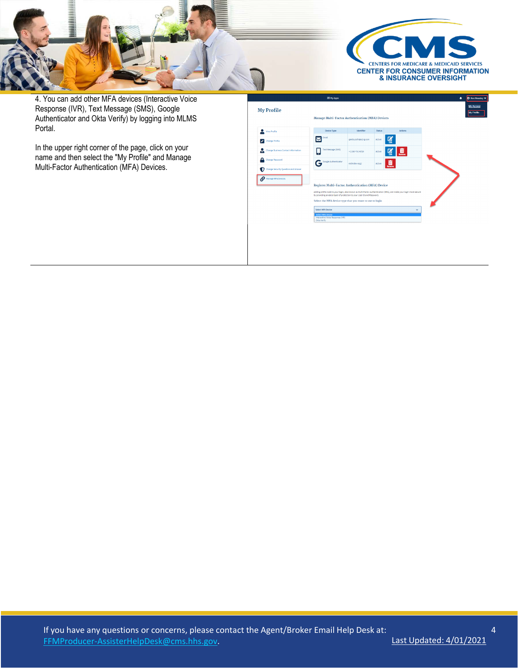

4. You can add other MFA devices (Interactive Voice Response (IVR), Text Message (SMS), Google Authenticator and Okta Verify) by logging into MLMS Portal.

In the upper right corner of the page, click on your name and then select the "My Profile" and Manage Multi-Factor Authentication (MFA) Devices.

|                                           | <b>Manage Multi-Factor Authentication (MFA) Devices</b>                                                                                                                                         |                      |               |                                                                                                                   |  |
|-------------------------------------------|-------------------------------------------------------------------------------------------------------------------------------------------------------------------------------------------------|----------------------|---------------|-------------------------------------------------------------------------------------------------------------------|--|
| $\bullet$<br>View Profile                 | Device Type                                                                                                                                                                                     | Identifier           | <b>Status</b> | Actions                                                                                                           |  |
| Change Profile                            | Email                                                                                                                                                                                           | geeta.joshi@a2-g.com | Active        | ā                                                                                                                 |  |
| h.<br>Change Business Contact Information | <b>Text Message (SMS)</b>                                                                                                                                                                       | $+1240 - 751 - 6724$ | Active        | Ш<br><b>kemov</b>                                                                                                 |  |
| ≏<br>Change Password                      | Google Authenticator<br>в                                                                                                                                                                       | eidmdev-aset         | Active        | Ш                                                                                                                 |  |
| Change Security Question and Answer<br>D  |                                                                                                                                                                                                 |                      |               |                                                                                                                   |  |
| Manage MFA Devices                        | <b>Register Multi-Factor Authentication (MFA) Device</b><br>by providing an extra layer of protection to your User ID and Password.<br>Select the MFA device type that you want to use to login |                      |               | Adding a MFA Code to your login, also known as Multi-Factor Authentication (MFA), can make your login more secure |  |
|                                           | Select MFA Device                                                                                                                                                                               |                      |               | $\overline{\phantom{a}}$                                                                                          |  |
|                                           | <b>Select MFA Device</b><br>Interactive Voice Response (IVR)                                                                                                                                    |                      |               |                                                                                                                   |  |

4